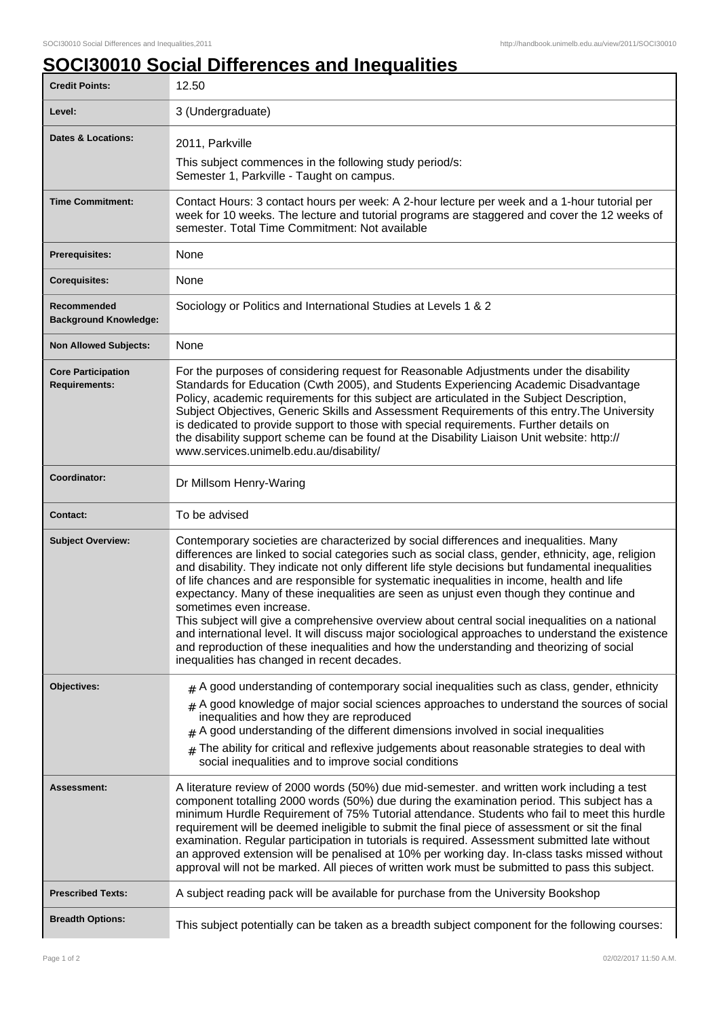٦

## **SOCI30010 Social Differences and Inequalities**

| <b>Credit Points:</b>                             | 12.50                                                                                                                                                                                                                                                                                                                                                                                                                                                                                                                                                                                                                                                                                                                                                                                                                                                                       |
|---------------------------------------------------|-----------------------------------------------------------------------------------------------------------------------------------------------------------------------------------------------------------------------------------------------------------------------------------------------------------------------------------------------------------------------------------------------------------------------------------------------------------------------------------------------------------------------------------------------------------------------------------------------------------------------------------------------------------------------------------------------------------------------------------------------------------------------------------------------------------------------------------------------------------------------------|
| Level:                                            | 3 (Undergraduate)                                                                                                                                                                                                                                                                                                                                                                                                                                                                                                                                                                                                                                                                                                                                                                                                                                                           |
| <b>Dates &amp; Locations:</b>                     | 2011, Parkville                                                                                                                                                                                                                                                                                                                                                                                                                                                                                                                                                                                                                                                                                                                                                                                                                                                             |
|                                                   | This subject commences in the following study period/s:<br>Semester 1, Parkville - Taught on campus.                                                                                                                                                                                                                                                                                                                                                                                                                                                                                                                                                                                                                                                                                                                                                                        |
| <b>Time Commitment:</b>                           | Contact Hours: 3 contact hours per week: A 2-hour lecture per week and a 1-hour tutorial per<br>week for 10 weeks. The lecture and tutorial programs are staggered and cover the 12 weeks of<br>semester. Total Time Commitment: Not available                                                                                                                                                                                                                                                                                                                                                                                                                                                                                                                                                                                                                              |
| <b>Prerequisites:</b>                             | None                                                                                                                                                                                                                                                                                                                                                                                                                                                                                                                                                                                                                                                                                                                                                                                                                                                                        |
| <b>Corequisites:</b>                              | None                                                                                                                                                                                                                                                                                                                                                                                                                                                                                                                                                                                                                                                                                                                                                                                                                                                                        |
| Recommended<br><b>Background Knowledge:</b>       | Sociology or Politics and International Studies at Levels 1 & 2                                                                                                                                                                                                                                                                                                                                                                                                                                                                                                                                                                                                                                                                                                                                                                                                             |
| <b>Non Allowed Subjects:</b>                      | None                                                                                                                                                                                                                                                                                                                                                                                                                                                                                                                                                                                                                                                                                                                                                                                                                                                                        |
| <b>Core Participation</b><br><b>Requirements:</b> | For the purposes of considering request for Reasonable Adjustments under the disability<br>Standards for Education (Cwth 2005), and Students Experiencing Academic Disadvantage<br>Policy, academic requirements for this subject are articulated in the Subject Description,<br>Subject Objectives, Generic Skills and Assessment Requirements of this entry. The University<br>is dedicated to provide support to those with special requirements. Further details on<br>the disability support scheme can be found at the Disability Liaison Unit website: http://<br>www.services.unimelb.edu.au/disability/                                                                                                                                                                                                                                                            |
| Coordinator:                                      | Dr Millsom Henry-Waring                                                                                                                                                                                                                                                                                                                                                                                                                                                                                                                                                                                                                                                                                                                                                                                                                                                     |
| <b>Contact:</b>                                   | To be advised                                                                                                                                                                                                                                                                                                                                                                                                                                                                                                                                                                                                                                                                                                                                                                                                                                                               |
| <b>Subject Overview:</b>                          | Contemporary societies are characterized by social differences and inequalities. Many<br>differences are linked to social categories such as social class, gender, ethnicity, age, religion<br>and disability. They indicate not only different life style decisions but fundamental inequalities<br>of life chances and are responsible for systematic inequalities in income, health and life<br>expectancy. Many of these inequalities are seen as unjust even though they continue and<br>sometimes even increase.<br>This subject will give a comprehensive overview about central social inequalities on a national<br>and international level. It will discuss major sociological approaches to understand the existence<br>and reproduction of these inequalities and how the understanding and theorizing of social<br>inequalities has changed in recent decades. |
| Objectives:                                       | $#$ A good understanding of contemporary social inequalities such as class, gender, ethnicity                                                                                                                                                                                                                                                                                                                                                                                                                                                                                                                                                                                                                                                                                                                                                                               |
|                                                   | $#$ A good knowledge of major social sciences approaches to understand the sources of social<br>inequalities and how they are reproduced<br>A good understanding of the different dimensions involved in social inequalities<br>The ability for critical and reflexive judgements about reasonable strategies to deal with<br>social inequalities and to improve social conditions                                                                                                                                                                                                                                                                                                                                                                                                                                                                                          |
| Assessment:                                       | A literature review of 2000 words (50%) due mid-semester. and written work including a test<br>component totalling 2000 words (50%) due during the examination period. This subject has a<br>minimum Hurdle Requirement of 75% Tutorial attendance. Students who fail to meet this hurdle<br>requirement will be deemed ineligible to submit the final piece of assessment or sit the final<br>examination. Regular participation in tutorials is required. Assessment submitted late without<br>an approved extension will be penalised at 10% per working day. In-class tasks missed without<br>approval will not be marked. All pieces of written work must be submitted to pass this subject.                                                                                                                                                                           |
| <b>Prescribed Texts:</b>                          | A subject reading pack will be available for purchase from the University Bookshop                                                                                                                                                                                                                                                                                                                                                                                                                                                                                                                                                                                                                                                                                                                                                                                          |
| <b>Breadth Options:</b>                           | This subject potentially can be taken as a breadth subject component for the following courses:                                                                                                                                                                                                                                                                                                                                                                                                                                                                                                                                                                                                                                                                                                                                                                             |